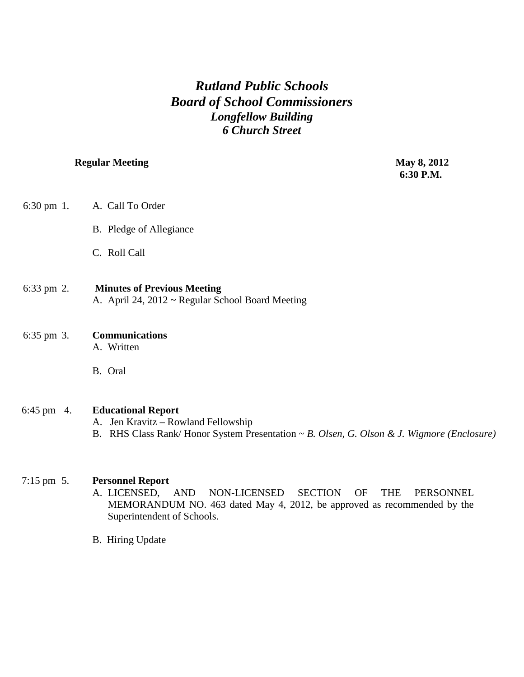## *Rutland Public Schools Board of School Commissioners Longfellow Building 6 Church Street*

## **Regular Meeting May 8, 2012**

 **6:30 P.M.**

| $6:30 \text{ pm } 1$ . | A. Call To Order                                                                                                                                              |
|------------------------|---------------------------------------------------------------------------------------------------------------------------------------------------------------|
|                        | B. Pledge of Allegiance                                                                                                                                       |
|                        | C. Roll Call                                                                                                                                                  |
| $6:33$ pm 2.           | <b>Minutes of Previous Meeting</b><br>A. April 24, 2012 ~ Regular School Board Meeting                                                                        |
| 6:35 pm 3.             | <b>Communications</b><br>A. Written                                                                                                                           |
|                        | B. Oral                                                                                                                                                       |
| 6:45 pm $4.$           | <b>Educational Report</b><br>A. Jen Kravitz – Rowland Fellowship<br>B. RHS Class Rank/Honor System Presentation ~ B. Olsen, G. Olson & J. Wigmore (Enclosure) |
| $7:15 \text{ pm } 5.$  | <b>Personnel Report</b><br><b>SECTION</b><br>A. LICENSED,<br><b>THE</b><br><b>AND</b><br>NON-LICENSED<br>OF<br>PERSONNEL                                      |

MEMORANDUM NO. 463 dated May 4, 2012, be approved as recommended by the Superintendent of Schools.

B. Hiring Update